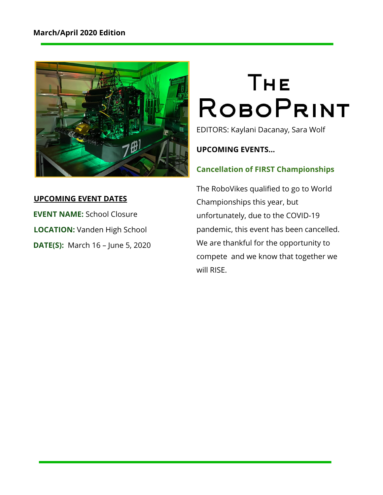

## **UPCOMING EVENT DATES**

**EVENT NAME:** School Closure **LOCATION:** Vanden High School **DATE(S):**  March 16 – June 5, 2020

# **THE ROBOPRINT**

EDITORS: Kaylani Dacanay, Sara Wolf

**UPCOMING EVENTS…**

# **Cancellation of FIRST Championships**

The RoboVikes qualified to go to World Championships this year, but unfortunately, due to the COVID-19 pandemic, this event has been cancelled. We are thankful for the opportunity to compete and we know that together we will RISE.